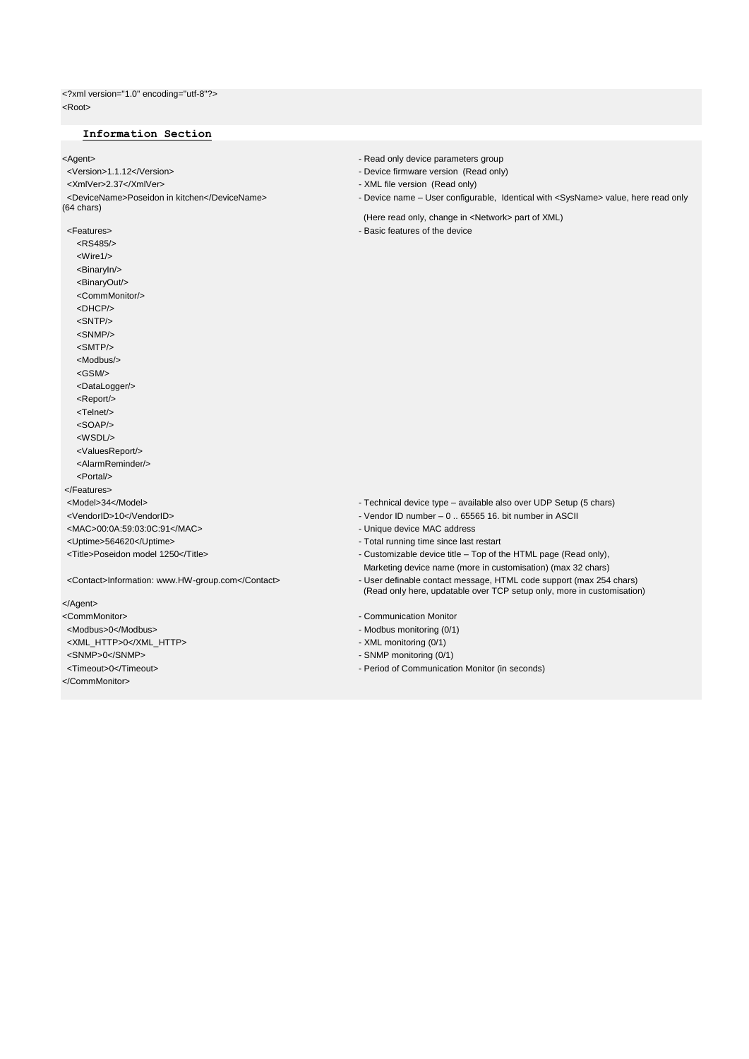<?xml version="1.0" encoding="utf-8"?> <Root>

# **Information Section**

→ Agent><br>
→ Read only device parameters group<br>
→ Pevice firmware version (Read only device parameters group <Version>1.1.12</Version> - Device firmware version (Read only) (64 chars) <Features> - Basic features of the device <RS485/> <Wire1/> <BinaryIn/> <BinaryOut/> <CommMonitor/> <DHCP/> <SNTP/> <SNMP/> <SMTP/>

- 
- 
- XML file version (Read only)
- <DeviceName>Poseidon in kitchen</DeviceName> Device name User configurable, Identical with <SysName> value, here read only
	- (Here read only, change in <Network> part of XML)
	-

- <Model>34</Model> Technical device type available also over UDP Setup (5 chars)
- <VendorID>10</VendorID> Vendor ID number 0 .. 65565 16. bit number in ASCII
- <MAC>00:0A:59:03:0C:91</MAC> Unique device MAC address
- <Uptime>564620</Uptime><br>
 Total running time since last restart
- <Title>Poseidon model 1250</Title> Customizable device title Top of the HTML page (Read only),
	- Marketing device name (more in customisation) (max 32 chars)
- <Contact>Information: www.HW-group.com</Contact> User definable contact message, HTML code support (max 254 chars) (Read only here, updatable over TCP setup only, more in customisation)
- <CommMonitor>
 Communication Monitor
- <Modbus>0</Modbus> Modbus monitoring (0/1)
- <XML\_HTTP>0</XML\_HTTP> XML monitoring (0/1)
- <SNMP>0</SNMP> SNMP monitoring (0/1)
- <Timeout>0</Timeout> Period of Communication Monitor (in seconds)
- </Agent>
- 

 <Modbus/> <GSM/> <DataLogger/> <Report/> <Telnet/> <SOAP/> <WSDL/> <ValuesReport/> <AlarmReminder/> <Portal/> </Features>

- 
- 
- 
- 
- </CommMonitor>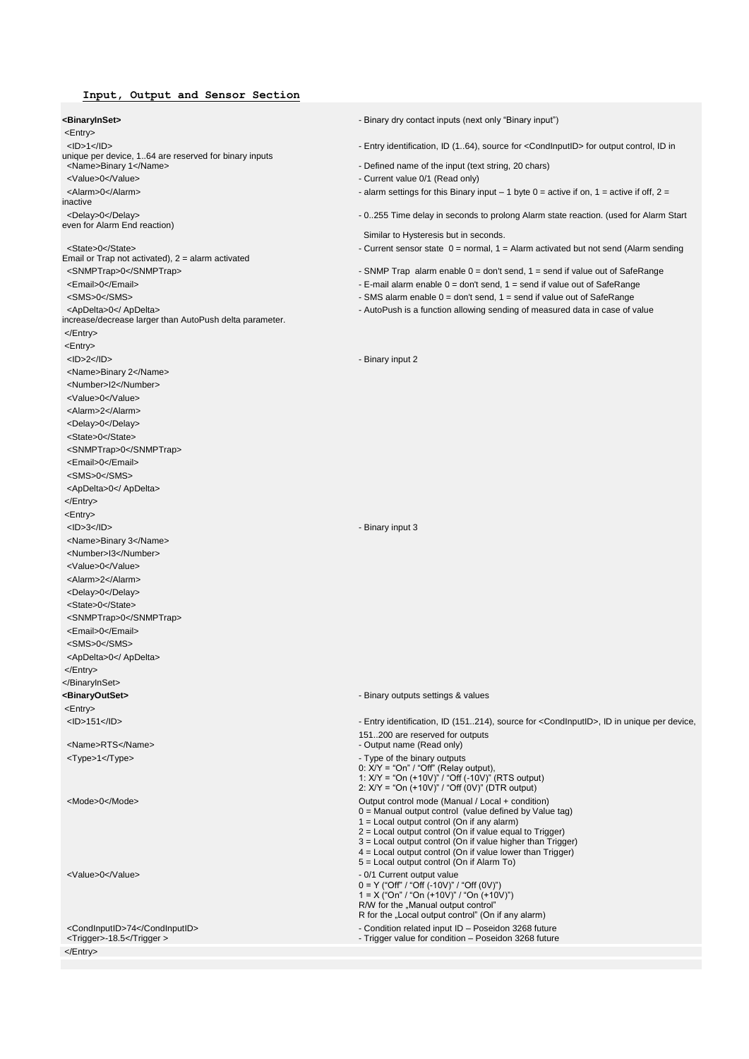## **Input, Output and Sensor Section**

<Entry> <ID>1</ID></ID>1</ID>>>>>>>>>>>>>>>>>+Entry identification, ID (1..64), source for <CondInputID> for output control, ID in unique per device, 1..64 are reserved for binary inputs<br><Name>Binary 1</Name> <Value>0</Value>  $\sim$  Current value 0/1 (Read only) <Alarm>0</Alarm>>
- alarm settings for this Binary input – 1 byte 0 = active if on, 1 = active if off, 2 = inactive <Delay>0</Delay>>>>>>>>>>>>>>>+0..255 Time delay in seconds to prolong Alarm state reaction. (used for Alarm Start even for Alarm End reaction) <State>0</State> - Current sensor state 0 = normal, 1 = Alarm activated but not send (Alarm sending Email or Trap not activated), 2 = alarm activated <SNMPTrap>0</SNMPTrap>0</SNMPTrap> - SNMP Trap alarm enable 0 = don't send, 1 = send if value out of SafeRange <Email>0</Email> - E-mail alarm enable 0 = don't send, 1 = send if value out of SafeRange <SMS>0</SMS> - SMS alarm enable 0 = don't send, 1 = send if value out of SafeRange <ApDelta>0</ApDelta> data in case of value increase/decrease larger than AutoPush delta parameter. </Entry> <Entry> <ID>2</ID> - Binary input 2 <Name>Binary 2</Name> <Number>I2</Number> <Value>0</Value> <Alarm>2</Alarm> <Delay>0</Delay> <State>0</State> <SNMPTrap>0</SNMPTrap> <Email>0</Email> <SMS>0</SMS> <ApDelta>0</ ApDelta> </Entry> <Entry> <ID>3</ID> - Binary input 3 <Name>Binary 3</Name> <Number>I3</Number> <Value>0</Value> <Alarm>2</Alarm> <Delay>0</Delay> <State>0</State> <SNMPTrap>0</SNMPTrap> <Email>0</Email> <SMS>0</SMS> <ApDelta>0</ ApDelta> </Entry> </BinaryInSet> **<BinaryOutSet>** - Binary outputs settings & values <Entry> 151..200 are reserved for outputs <Type>1</Type>  $\blacksquare$ <Mode>0</Mode> Output control mode (Manual / Local + condition)</Mode> <Value>0</Value> - 0/1 Current output value

**<BinaryInSet>** - Binary dry contact inputs (next only "Binary input")

- 
- Defined name of the input (text string, 20 chars)
- 
- 
- 

Similar to Hysteresis but in seconds.

- 
- 
- 
- 
- 

 <ID>151</ID> - Entry identification, ID (151..214), source for <CondInputID>, ID in unique per device, - Output name (Read only) 0: X/Y = "On" / "Off" (Relay output), 1: X/Y = "On (+10V)" / "Off (-10V)" (RTS output) 2: X/Y = "On (+10V)" / "Off (0V)" (DTR output) 0 = Manual output control (value defined by Value tag) 1 = Local output control (On if any alarm) 2 = Local output control (On if value equal to Trigger) 3 = Local output control (On if value higher than Trigger) 4 = Local output control (On if value lower than Trigger) 5 = Local output control (On if Alarm To) 0 = Y ("Off" / "Off (-10V)" / "Off (0V)") 1 = X ("On" / "On (+10V)" / "On (+10V)") R/W for the "Manual output control" R for the "Local output control" (On if any alarm)

<CondInputID>74</CondInputID><br>
- Condition related input ID – Poseidon 3268 future<br>
- Trigger value for condition – Poseidon 3268 future<br>
- Trigger value for condition – Poseidon 3268 future - Trigger value for condition – Poseidon 3268 future

</Entry>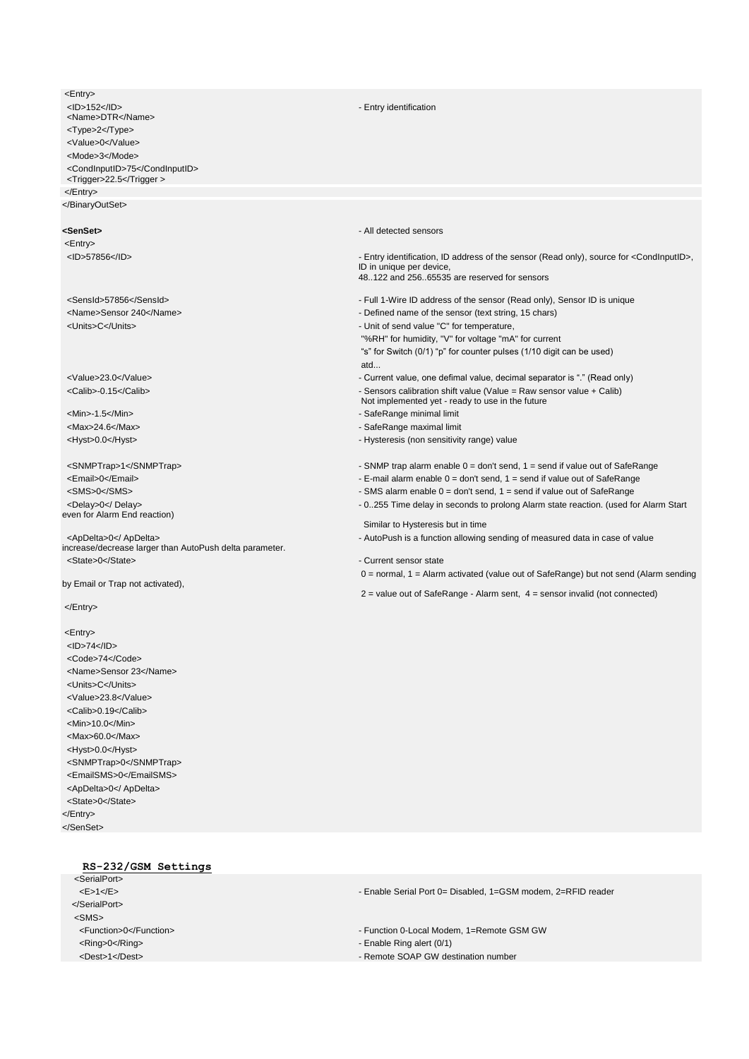<Entry><br><ID>152</ID> <Name>DTR</Name> <Type>2</Type> <Value>0</Value> <Mode>3</Mode> <CondInputID>75</CondInputID> <Trigger>22.5</Trigger > </Entry> </BinaryOutSet>

<Entry>

even for Alarm End reaction)

increase/decrease larger than AutoPush delta parameter. <State>0</State> - Current sensor state</state> - Current sensor state

by Email or Trap not activated),

</Entry>

<Entry> <ID>74</ID> <Code>74</Code> <Name>Sensor 23</Name> <Units>C</Units> <Value>23.8</Value> <Calib>0.19</Calib> <Min>10.0</Min> <Max>60.0</Max> <Hyst>0.0</Hyst> <SNMPTrap>0</SNMPTrap> <EmailSMS>0</EmailSMS> <ApDelta>0</ ApDelta> <State>0</State> </Entry> </SenSet>

### - Entry identification

**<SenSet>** - All detected sensors

<ID>57856</ID>>>>>>>>>>>>>>>>+Entry identification, ID address of the sensor (Read only), source for <CondInputID>, ID in unique per device,

48..122 and 256..65535 are reserved for sensors

- <SensId>57856</SensId> Full 1-Wire ID address of the sensor (Read only), Sensor ID is unique
- <Name>Sensor 240</Name> Defined name of the sensor (text string, 15 chars)
- <Units>C</Units> Unit of send value "C" for temperature,

"%RH" for humidity, "V" for voltage "mA" for current

"s" for Switch (0/1) "p" for counter pulses (1/10 digit can be used) atd...

- <Value>23.0</Value> Current value, one defimal value, decimal separator is "." (Read only)
- <Calib>-0.15</Calib> Sensors calibration shift value (Value = Raw sensor value + Calib)
	- Not implemented yet ready to use in the future

<Min>-1.5</Min> - SafeRange minimal limit

- <Max>24.6</Max> SafeRange maximal limit
- <htyst>0.0</hyst> Mysteresis (non sensitivity range) value

<SNMPTrap>1</SNMPTrap>1</SNMPTrap>1</SNMPTrap>1

- <Email>0</Email> E-mail alarm enable 0 = don't send, 1 = send if value out of SafeRange
- <SMS>0</SMS> SMS alarm enable 0 = don't send, 1 = send if value out of SafeRange

<Delay>0</Delay>>>>>>>>>>>>>>>+0..255 Time delay in seconds to prolong Alarm state reaction. (used for Alarm Start

 Similar to Hysteresis but in time <ApDelta>0</ApDelta> data in case of value

0 = normal, 1 = Alarm activated (value out of SafeRange) but not send (Alarm sending

 $2 =$  value out of SafeRange - Alarm sent,  $4 =$  sensor invalid (not connected)

**RS-232/GSM Settings** <SerialPort>

 </SerialPort> <SMS> <Ring>0</Ring> - Enable Ring alert (0/1) <Dest>1</Dest> - Remote SOAP GW destination number

<E>1</E> - Enable Serial Port 0= Disabled, 1=GSM modem, 2=RFID reader

<Function>0</Function> - Function 0-Local Modem, 1=Remote GSM GW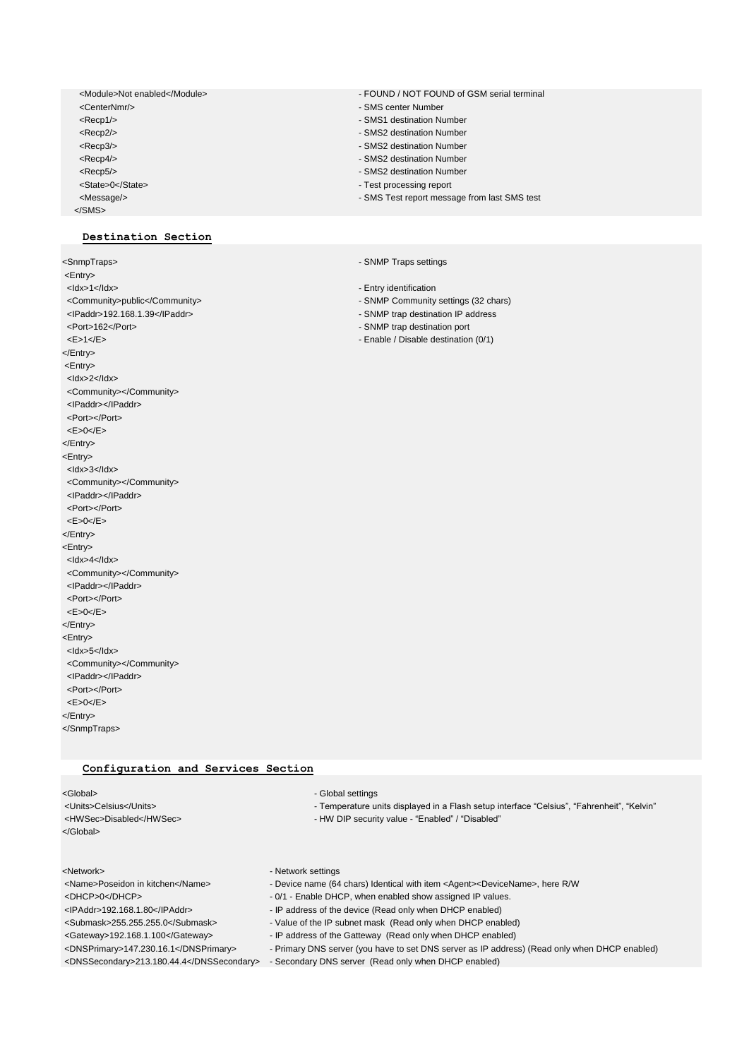<CenterNmr/> - SMS center Number <Recp1/>
Allen Contracts and Contracts and Contracts and Contracts and Contracts and Contracts and Contracts and Contracts and Contracts and Contracts and Contracts and Contracts and Contracts and Contracts and Contracts a <Recp2/> - SMS2 destination Number <Recp4/>
Allen Contract Contract Contract Contract Contract Contract Contract Contract Contract Contract Contract Contract Contract Contract Contract Contract Contract Contract Contract Contract Contract Contract Contract <Recp5/>
<br>
- SMS2 destination Number<br>
- SMS2 destination Number<br>
- Test processing report <Message/> - SMS Test report message from last SMS test </SMS>

# **Destination Section**

<Entry> <ldx>1</ldx> - Entry identification <IPaddr>192.168.1.39</IPaddr> - SNMP trap destination IP address <Port>162</Port> - SNMP trap destination port <E>1</E> - Enable / Disable destination (0/1) </Entry> <Entry> <Idx>2</Idx> <Community></Community> <IPaddr></IPaddr> <Port></Port> <E>0</E> </Entry> <Entry> <Idx>3</Idx> <Community></Community> <IPaddr></IPaddr> <Port></Port>  $0$ <sub><</sub>/E></Entry> <Entry> <Idx>4</Idx> <Community></Community> <IPaddr></IPaddr> <Port></Port> <E>0</E> </Entry> <Entry> <Idx>5</Idx> <Community></Community> <IPaddr></IPaddr> <Port></Port> <E>0</E> </Entry> </SnmpTraps>

# **Configuration and Services Section**

| <global></global>                | - Global settings                                                                               |
|----------------------------------|-------------------------------------------------------------------------------------------------|
| <units>Celsius</units>           | - Temperature units displayed in a Flash setup interface "Celsius", "Fahrenheit", "Kelvin"      |
| <hwsec>Disabled</hwsec>          | - HW DIP security value - "Enabled" / "Disabled"                                                |
|                                  |                                                                                                 |
|                                  |                                                                                                 |
| <network></network>              | - Network settings                                                                              |
| <name>Poseidon in kitchen</name> | - Device name (64 chars) Identical with item <agent><devicename>, here R/W</devicename></agent> |
| <dhcp>0</dhcp>                   | - 0/1 - Enable DHCP, when enabled show assigned IP values.                                      |
| $ADAA = AOO AOO AOO AOO$         | ID address of the device (Dead only when DUCD enabled)                                          |

<IPAddr>192.168.1.80</IPAddr> - IP address of the device (Read only when DHCP enabled)

<Submask>255.255.255.0</Submask> - Value of the IP subnet mask (Read only when DHCP enabled)

- <Gateway>192.168.1.100</Gateway> IP address of the Gatteway (Read only when DHCP enabled)
- <DNSPrimary>147.230.16.1</DNSPrimary> Primary DNS server (you have to set DNS server as IP address) (Read only when DHCP enabled)

<DNSSecondary>213.180.44.4</DNSSecondary> - Secondary DNS server (Read only when DHCP enabled)

- <Module>Not enabled</Module> FOUND / NOT FOUND of GSM serial terminal
	-
	-
	-
	- SMS2 destination Number
	-
	- Test processing report
	-
	-

<SnmpTraps> - SNMP Traps settings

- 
- <Community>public</Community> SNMP Community settings (32 chars)
	-
	-
	-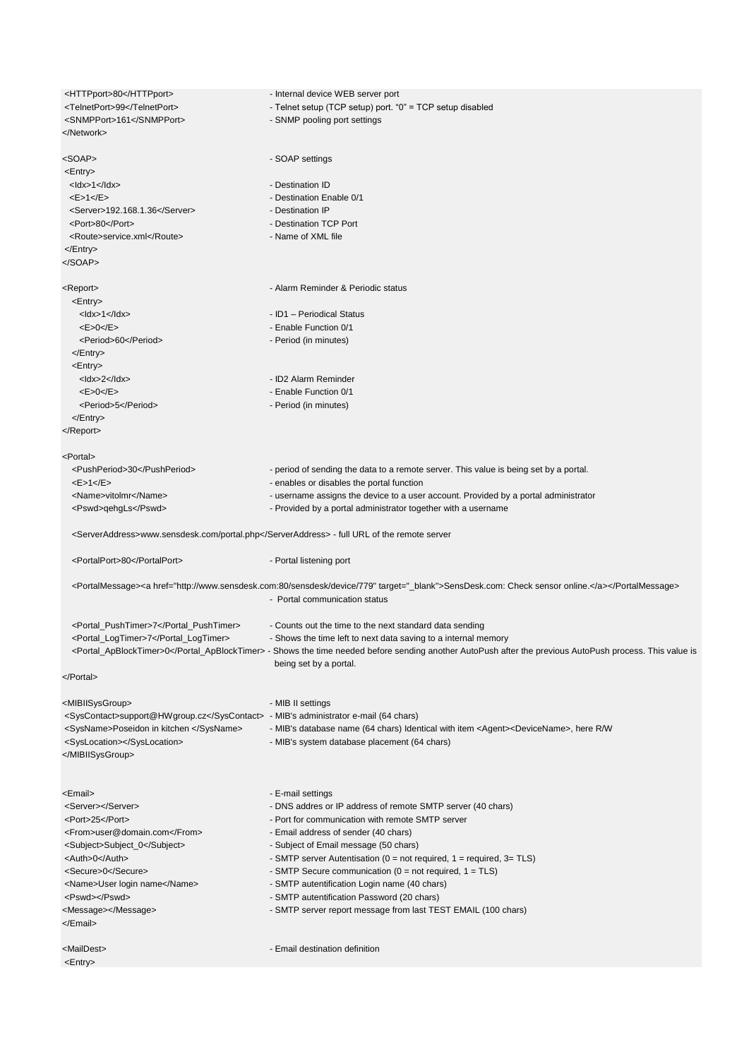| <httpport>80</httpport>                                                                    | - Internal device WEB server port                                                                                                                                               |
|--------------------------------------------------------------------------------------------|---------------------------------------------------------------------------------------------------------------------------------------------------------------------------------|
| <telnetport>99</telnetport>                                                                | - Telnet setup (TCP setup) port. "0" = TCP setup disabled                                                                                                                       |
| <snmpport>161</snmpport>                                                                   | - SNMP pooling port settings                                                                                                                                                    |
|                                                                                            |                                                                                                                                                                                 |
|                                                                                            |                                                                                                                                                                                 |
| <soap></soap>                                                                              | - SOAP settings                                                                                                                                                                 |
| $<$ Entry $>$                                                                              |                                                                                                                                                                                 |
| $<$ ldx>1 $<$ /ldx>                                                                        | - Destination ID                                                                                                                                                                |
| <e>1<e></e></e>                                                                            | - Destination Enable 0/1                                                                                                                                                        |
| <server>192.168.1.36</server><br><port>80</port>                                           | - Destination IP<br>- Destination TCP Port                                                                                                                                      |
| <route>service.xml</route>                                                                 | - Name of XML file                                                                                                                                                              |
|                                                                                            |                                                                                                                                                                                 |
|                                                                                            |                                                                                                                                                                                 |
|                                                                                            |                                                                                                                                                                                 |
| <report></report>                                                                          | - Alarm Reminder & Periodic status                                                                                                                                              |
| <entry></entry>                                                                            |                                                                                                                                                                                 |
| $<$ ldx>1 $<$ /ldx>                                                                        | - ID1 - Periodical Status                                                                                                                                                       |
| <e>0<sub>&lt;</sub>/E&gt;</e>                                                              | - Enable Function 0/1                                                                                                                                                           |
| <period>60</period>                                                                        | - Period (in minutes)                                                                                                                                                           |
|                                                                                            |                                                                                                                                                                                 |
| <entry></entry>                                                                            |                                                                                                                                                                                 |
| $<$ ldx>2 $<$ /ldx>                                                                        | - ID2 Alarm Reminder                                                                                                                                                            |
| <e>0<e></e></e>                                                                            | - Enable Function 0/1                                                                                                                                                           |
| <period>5</period>                                                                         | - Period (in minutes)                                                                                                                                                           |
|                                                                                            |                                                                                                                                                                                 |
|                                                                                            |                                                                                                                                                                                 |
| <portal></portal>                                                                          |                                                                                                                                                                                 |
| <pushperiod>30</pushperiod>                                                                | - period of sending the data to a remote server. This value is being set by a portal.                                                                                           |
| <e>1<e></e></e>                                                                            | - enables or disables the portal function                                                                                                                                       |
| <name>vitolmr</name>                                                                       | - username assigns the device to a user account. Provided by a portal administrator                                                                                             |
| <pswd>qehgLs</pswd>                                                                        | - Provided by a portal administrator together with a username                                                                                                                   |
|                                                                                            |                                                                                                                                                                                 |
| <serveraddress>www.sensdesk.com/portal.php</serveraddress> - full URL of the remote server |                                                                                                                                                                                 |
| <portalport>80</portalport>                                                                | - Portal listening port                                                                                                                                                         |
|                                                                                            | <portalmessage><a href="http://www.sensdesk.com:80/sensdesk/device/779" target="_blank">SensDesk.com: Check sensor online.</a></portalmessage><br>- Portal communication status |
| <portal_pushtimer>7</portal_pushtimer>                                                     | - Counts out the time to the next standard data sending                                                                                                                         |
| <portal_logtimer>7</portal_logtimer>                                                       | - Shows the time left to next data saving to a internal memory                                                                                                                  |
|                                                                                            | <portal_apblocktimer>0</portal_apblocktimer> - Shows the time needed before sending another AutoPush after the previous AutoPush process. This value is                         |
|                                                                                            | being set by a portal.                                                                                                                                                          |
|                                                                                            |                                                                                                                                                                                 |
|                                                                                            |                                                                                                                                                                                 |
| <mibiisysgroup></mibiisysgroup>                                                            | - MIB II settings                                                                                                                                                               |
| <syscontact>support@HWgroup.cz</syscontact> - MIB's administrator e-mail (64 chars)        |                                                                                                                                                                                 |
| <sysname>Poseidon in kitchen </sysname>                                                    | - MIB's database name (64 chars) Identical with item <agent><devicename>, here R/W</devicename></agent>                                                                         |
| <syslocation></syslocation>                                                                | - MIB's system database placement (64 chars)                                                                                                                                    |
|                                                                                            |                                                                                                                                                                                 |
|                                                                                            |                                                                                                                                                                                 |
| <email></email>                                                                            | - E-mail settings                                                                                                                                                               |
| <server></server>                                                                          | - DNS addres or IP address of remote SMTP server (40 chars)                                                                                                                     |
| <port>25</port>                                                                            | - Port for communication with remote SMTP server                                                                                                                                |
| <from>user@domain.com</from>                                                               | - Email address of sender (40 chars)                                                                                                                                            |
| <subject>Subject_0</subject>                                                               | - Subject of Email message (50 chars)                                                                                                                                           |
| <auth>0</auth>                                                                             | - SMTP server Autentisation ( $0 = not$ required, $1 = required$ , $3 = TLS$ )                                                                                                  |
| <secure>0</secure>                                                                         | - SMTP Secure communication ( $0 = not required$ , $1 = TLS$ )                                                                                                                  |
| <name>User login name</name>                                                               | - SMTP autentification Login name (40 chars)                                                                                                                                    |
| <pswd></pswd>                                                                              | - SMTP autentification Password (20 chars)                                                                                                                                      |
| <message></message>                                                                        | - SMTP server report message from last TEST EMAIL (100 chars)                                                                                                                   |
|                                                                                            |                                                                                                                                                                                 |
| <maildest></maildest>                                                                      | - Email destination definition                                                                                                                                                  |
| $<$ Entry $>$                                                                              |                                                                                                                                                                                 |
|                                                                                            |                                                                                                                                                                                 |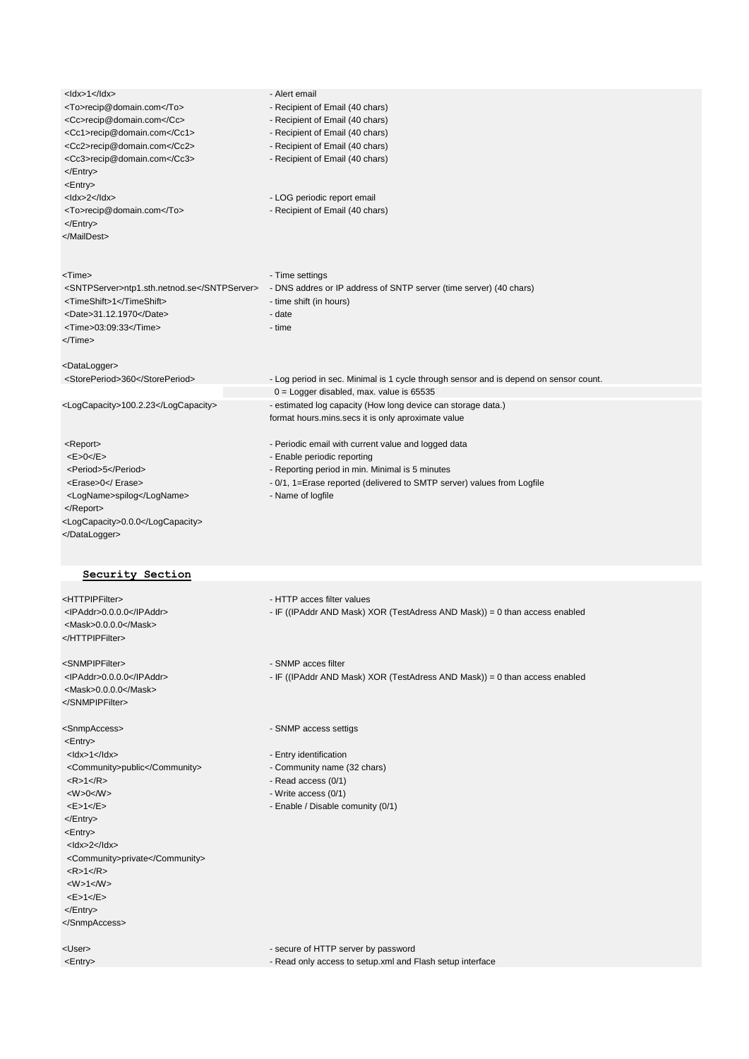| $<$ ldx>1 $<$ /ldx><br><to>recip@domain.com</to><br><cc>recip@domain.com</cc><br><cc1>recip@domain.com</cc1><br><cc2>recip@domain.com</cc2><br><cc3>recip@domain.com</cc3><br><br><entry><br/><math>&lt;</math>ldx&gt;2<math>&lt;</math>/ldx&gt;</entry>                                                                                                                                                                                                                                                                            | - Alert email<br>- Recipient of Email (40 chars)<br>- Recipient of Email (40 chars)<br>- Recipient of Email (40 chars)<br>- Recipient of Email (40 chars)<br>- Recipient of Email (40 chars)<br>- LOG periodic report email          |
|-------------------------------------------------------------------------------------------------------------------------------------------------------------------------------------------------------------------------------------------------------------------------------------------------------------------------------------------------------------------------------------------------------------------------------------------------------------------------------------------------------------------------------------|--------------------------------------------------------------------------------------------------------------------------------------------------------------------------------------------------------------------------------------|
| <to>recip@domain.com</to><br><br>                                                                                                                                                                                                                                                                                                                                                                                                                                                                                                   | - Recipient of Email (40 chars)                                                                                                                                                                                                      |
| <time><br/><sntpserver>ntp1.sth.netnod.se</sntpserver><br/><timeshift>1</timeshift><br/><date>31.12.1970</date><br/><time>03:09:33</time><br/></time>                                                                                                                                                                                                                                                                                                                                                                               | - Time settings<br>- DNS addres or IP address of SNTP server (time server) (40 chars)<br>- time shift (in hours)<br>- date<br>- time                                                                                                 |
| <datalogger></datalogger>                                                                                                                                                                                                                                                                                                                                                                                                                                                                                                           |                                                                                                                                                                                                                                      |
| <storeperiod>360</storeperiod>                                                                                                                                                                                                                                                                                                                                                                                                                                                                                                      | - Log period in sec. Minimal is 1 cycle through sensor and is depend on sensor count.                                                                                                                                                |
| <logcapacity>100.2.23</logcapacity>                                                                                                                                                                                                                                                                                                                                                                                                                                                                                                 | $0 =$ Logger disabled, max. value is 65535<br>- estimated log capacity (How long device can storage data.)<br>format hours.mins.secs it is only aproximate value                                                                     |
| <report><br/><e>0<sub>&lt;</sub>/E&gt;<br/><period>5</period><br/><erase>0</erase><br/><logname>spilog</logname><br/></e></report>                                                                                                                                                                                                                                                                                                                                                                                                  | - Periodic email with current value and logged data<br>- Enable periodic reporting<br>- Reporting period in min. Minimal is 5 minutes<br>- 0/1, 1=Erase reported (delivered to SMTP server) values from Logfile<br>- Name of logfile |
| <logcapacity>0.0.0</logcapacity><br>                                                                                                                                                                                                                                                                                                                                                                                                                                                                                                |                                                                                                                                                                                                                                      |
| Security Section                                                                                                                                                                                                                                                                                                                                                                                                                                                                                                                    |                                                                                                                                                                                                                                      |
| <httpipfilter><br/><lpaddr>0.0.0.0</lpaddr><br/><mask>0.0.0.0</mask><br/></httpipfilter>                                                                                                                                                                                                                                                                                                                                                                                                                                            | - HTTP acces filter values<br>- IF ((IPAddr AND Mask) XOR (TestAdress AND Mask)) = 0 than access enabled                                                                                                                             |
| <snmpipfilter><br/><ipaddr>0.0.0.0</ipaddr><br/><mask>0.0.0.0</mask><br/></snmpipfilter>                                                                                                                                                                                                                                                                                                                                                                                                                                            | - SNMP acces filter<br>- IF ((IPAddr AND Mask) XOR (TestAdress AND Mask)) = 0 than access enabled                                                                                                                                    |
| <snmpaccess><br/><entry><br/><math>&lt;</math>ldx&gt;1<math>&lt;</math>/ldx&gt;<br/><community>public</community><br/><math>&lt;</math>R&gt;1<math>&lt;</math>/R&gt;<br/><math>&lt;\!\!W\!\!&gt;\!\!0&lt;\!\!M\!\!&gt;</math><br/><e>1<e><br/></e></e></entry><br/><entry><br/><math>&lt;</math>ldx&gt;2<math>&lt;</math>/ldx&gt;<br/><community>private</community><br/><math>&lt;</math>R&gt;1<math>&lt;</math>/R&gt;<br/><math>&lt;\!\!W\!\!&gt;\!\!1&lt;\!\!M\!\!&gt;</math><br/><e>1<e><br/></e></e></entry><br/></snmpaccess> | - SNMP access settigs<br>- Entry identification<br>- Community name (32 chars)<br>- Read access (0/1)<br>- Write access (0/1)<br>- Enable / Disable comunity (0/1)                                                                   |
| <user></user>                                                                                                                                                                                                                                                                                                                                                                                                                                                                                                                       | - secure of HTTP server by password                                                                                                                                                                                                  |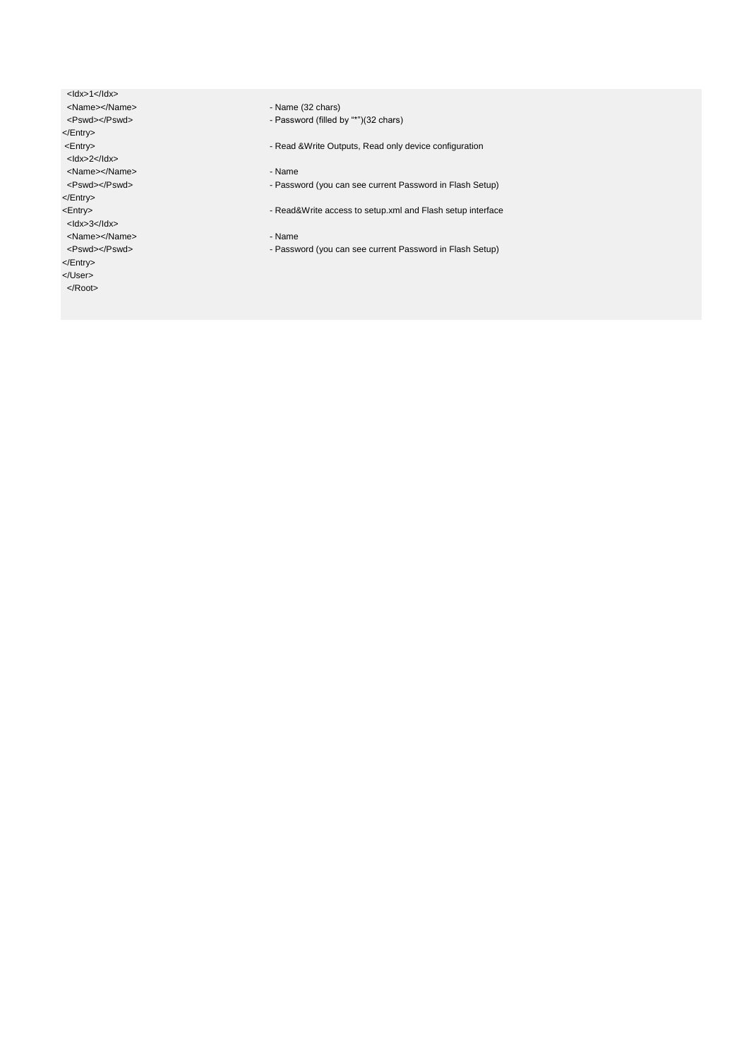<ldx>1</ldx><br><Name></Name> <Name></Name> - Name (32 chars) </Entry> <Idx>2</Idx> <Name></Name> - Name </Entry> <Idx>3</Idx> <Name></Name> - Name </Entry>

</User>

</Root>

- Password (filled by "\*")(32 chars)

- Read &Write Outputs, Read only device configuration

- Password (you can see current Password in Flash Setup)
- <Entry> Read&Write access to setup.xml and Flash setup interface

<Pswd></Pswd><br>
- Password (you can see current Password in Flash Setup)